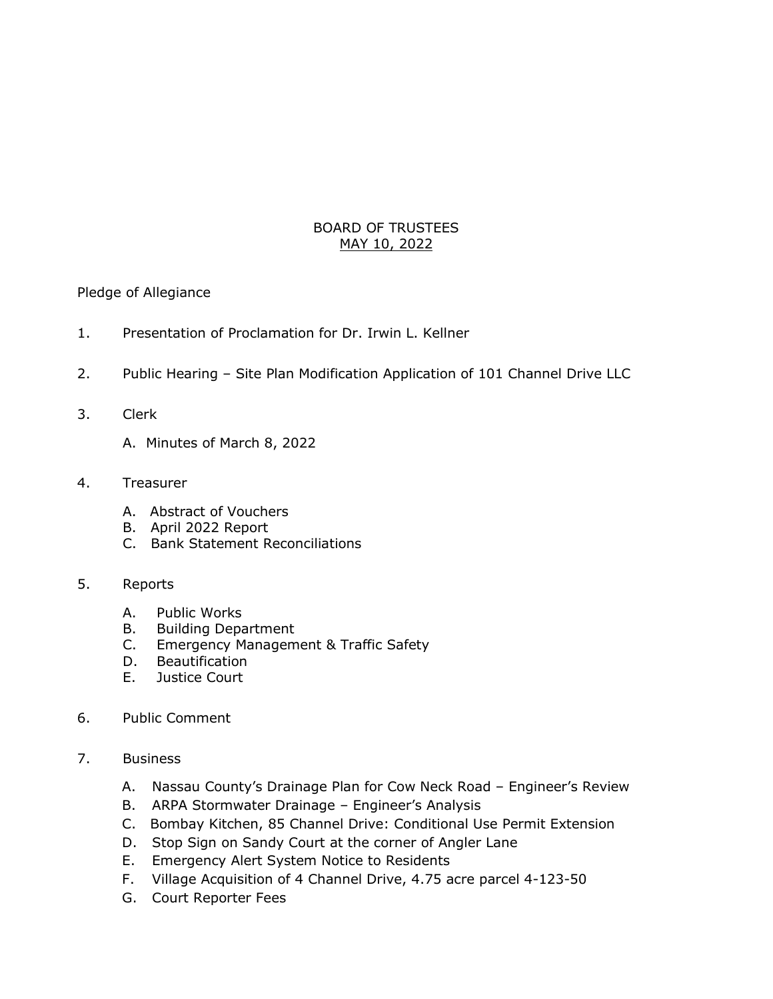## BOARD OF TRUSTEES MAY 10, 2022

Pledge of Allegiance

- 1. Presentation of Proclamation for Dr. Irwin L. Kellner
- 2. Public Hearing Site Plan Modification Application of 101 Channel Drive LLC
- 3. Clerk
	- A. Minutes of March 8, 2022
- 4. Treasurer
	- A. Abstract of Vouchers
	- B. April 2022 Report
	- C. Bank Statement Reconciliations
- 5. Reports
	- A. Public Works
	- B. Building Department
	- C. Emergency Management & Traffic Safety
	- D. Beautification
	- E. Justice Court
- 6. Public Comment
- 7. Business
	- A. Nassau County's Drainage Plan for Cow Neck Road Engineer's Review
	- B. ARPA Stormwater Drainage Engineer's Analysis
	- C. Bombay Kitchen, 85 Channel Drive: Conditional Use Permit Extension
	- D. Stop Sign on Sandy Court at the corner of Angler Lane
	- E. Emergency Alert System Notice to Residents
	- F. Village Acquisition of 4 Channel Drive, 4.75 acre parcel 4-123-50
	- G. Court Reporter Fees